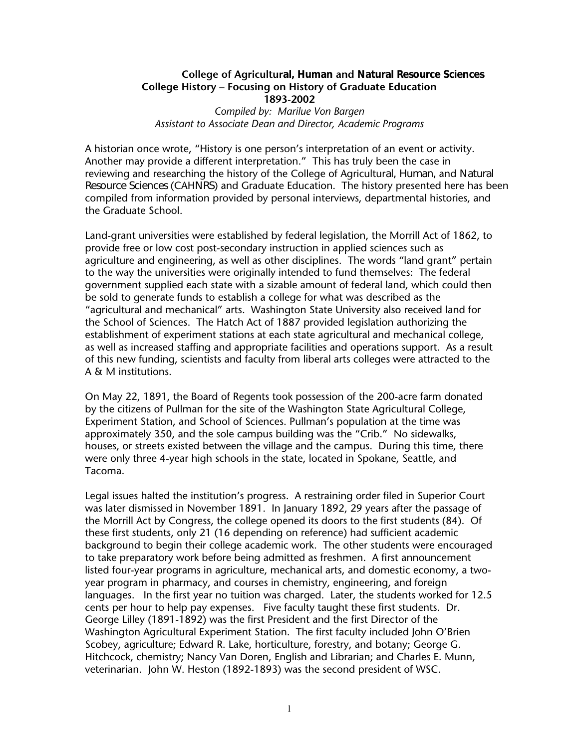#### **College of Agricultural, Human and Natural Resource Sciences College History – Focusing on History of Graduate Education 1893-2002**

*Compiled by: Marilue Von Bargen Assistant to Associate Dean and Director, Academic Programs*

A historian once wrote, "History is one person's interpretation of an event or activity. Another may provide a different interpretation." This has truly been the case in reviewing and researching the history of the College of Agricultural, Human, and Natural Resource Sciences (CAHNRS) and Graduate Education. The history presented here has been compiled from information provided by personal interviews, departmental histories, and the Graduate School.

Land-grant universities were established by federal legislation, the Morrill Act of 1862, to provide free or low cost post-secondary instruction in applied sciences such as agriculture and engineering, as well as other disciplines. The words "land grant" pertain to the way the universities were originally intended to fund themselves: The federal government supplied each state with a sizable amount of federal land, which could then be sold to generate funds to establish a college for what was described as the "agricultural and mechanical" arts. Washington State University also received land for the School of Sciences. The Hatch Act of 1887 provided legislation authorizing the establishment of experiment stations at each state agricultural and mechanical college, as well as increased staffing and appropriate facilities and operations support. As a result of this new funding, scientists and faculty from liberal arts colleges were attracted to the A & M institutions.

On May 22, 1891, the Board of Regents took possession of the 200-acre farm donated by the citizens of Pullman for the site of the Washington State Agricultural College, Experiment Station, and School of Sciences. Pullman's population at the time was approximately 350, and the sole campus building was the "Crib." No sidewalks, houses, or streets existed between the village and the campus. During this time, there were only three 4-year high schools in the state, located in Spokane, Seattle, and Tacoma.

Legal issues halted the institution's progress. A restraining order filed in Superior Court was later dismissed in November 1891. In January 1892, 29 years after the passage of the Morrill Act by Congress, the college opened its doors to the first students (84). Of these first students, only 21 (16 depending on reference) had sufficient academic background to begin their college academic work. The other students were encouraged to take preparatory work before being admitted as freshmen. A first announcement listed four-year programs in agriculture, mechanical arts, and domestic economy, a twoyear program in pharmacy, and courses in chemistry, engineering, and foreign languages. In the first year no tuition was charged. Later, the students worked for 12.5 cents per hour to help pay expenses. Five faculty taught these first students. Dr. George Lilley (1891-1892) was the first President and the first Director of the Washington Agricultural Experiment Station. The first faculty included John O'Brien Scobey, agriculture; Edward R. Lake, horticulture, forestry, and botany; George G. Hitchcock, chemistry; Nancy Van Doren, English and Librarian; and Charles E. Munn, veterinarian. John W. Heston (1892-1893) was the second president of WSC.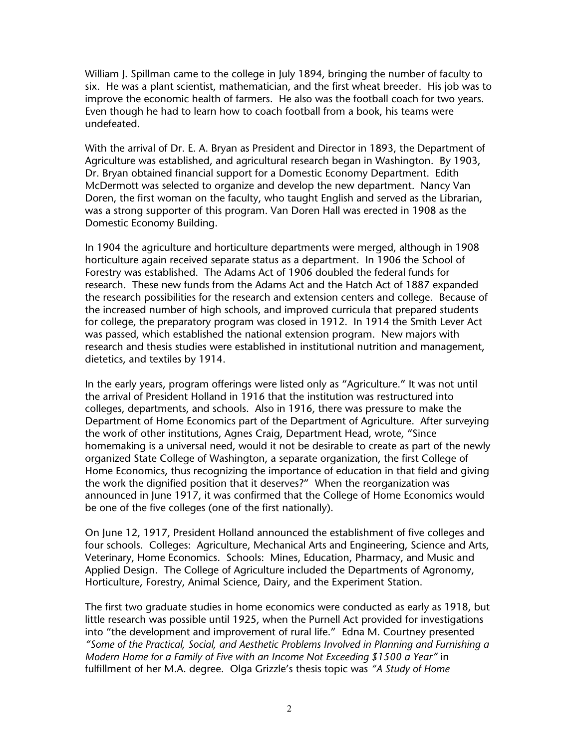William J. Spillman came to the college in July 1894, bringing the number of faculty to six. He was a plant scientist, mathematician, and the first wheat breeder. His job was to improve the economic health of farmers. He also was the football coach for two years. Even though he had to learn how to coach football from a book, his teams were undefeated.

With the arrival of Dr. E. A. Bryan as President and Director in 1893, the Department of Agriculture was established, and agricultural research began in Washington. By 1903, Dr. Bryan obtained financial support for a Domestic Economy Department. Edith McDermott was selected to organize and develop the new department. Nancy Van Doren, the first woman on the faculty, who taught English and served as the Librarian, was a strong supporter of this program. Van Doren Hall was erected in 1908 as the Domestic Economy Building.

In 1904 the agriculture and horticulture departments were merged, although in 1908 horticulture again received separate status as a department. In 1906 the School of Forestry was established. The Adams Act of 1906 doubled the federal funds for research. These new funds from the Adams Act and the Hatch Act of 1887 expanded the research possibilities for the research and extension centers and college. Because of the increased number of high schools, and improved curricula that prepared students for college, the preparatory program was closed in 1912. In 1914 the Smith Lever Act was passed, which established the national extension program. New majors with research and thesis studies were established in institutional nutrition and management, dietetics, and textiles by 1914.

In the early years, program offerings were listed only as "Agriculture." It was not until the arrival of President Holland in 1916 that the institution was restructured into colleges, departments, and schools. Also in 1916, there was pressure to make the Department of Home Economics part of the Department of Agriculture. After surveying the work of other institutions, Agnes Craig, Department Head, wrote, "Since homemaking is a universal need, would it not be desirable to create as part of the newly organized State College of Washington, a separate organization, the first College of Home Economics, thus recognizing the importance of education in that field and giving the work the dignified position that it deserves?" When the reorganization was announced in June 1917, it was confirmed that the College of Home Economics would be one of the five colleges (one of the first nationally).

On June 12, 1917, President Holland announced the establishment of five colleges and four schools. Colleges: Agriculture, Mechanical Arts and Engineering, Science and Arts, Veterinary, Home Economics. Schools: Mines, Education, Pharmacy, and Music and Applied Design. The College of Agriculture included the Departments of Agronomy, Horticulture, Forestry, Animal Science, Dairy, and the Experiment Station.

The first two graduate studies in home economics were conducted as early as 1918, but little research was possible until 1925, when the Purnell Act provided for investigations into "the development and improvement of rural life." Edna M. Courtney presented *"Some of the Practical, Social, and Aesthetic Problems Involved in Planning and Furnishing a Modern Home for a Family of Five with an Income Not Exceeding \$1500 a Year"* in fulfillment of her M.A. degree. Olga Grizzle's thesis topic was *"A Study of Home*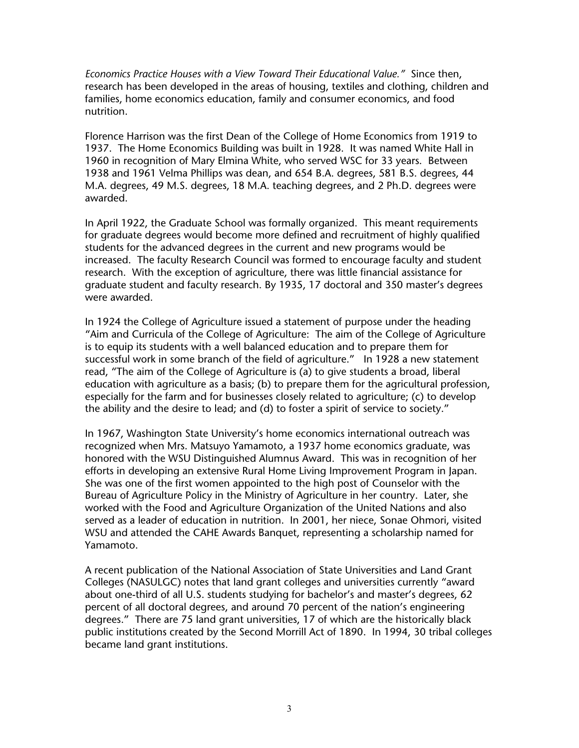*Economics Practice Houses with a View Toward Their Educational Value."* Since then, research has been developed in the areas of housing, textiles and clothing, children and families, home economics education, family and consumer economics, and food nutrition.

Florence Harrison was the first Dean of the College of Home Economics from 1919 to 1937. The Home Economics Building was built in 1928. It was named White Hall in 1960 in recognition of Mary Elmina White, who served WSC for 33 years. Between 1938 and 1961 Velma Phillips was dean, and 654 B.A. degrees, 581 B.S. degrees, 44 M.A. degrees, 49 M.S. degrees, 18 M.A. teaching degrees, and 2 Ph.D. degrees were awarded.

In April 1922, the Graduate School was formally organized. This meant requirements for graduate degrees would become more defined and recruitment of highly qualified students for the advanced degrees in the current and new programs would be increased. The faculty Research Council was formed to encourage faculty and student research. With the exception of agriculture, there was little financial assistance for graduate student and faculty research. By 1935, 17 doctoral and 350 master's degrees were awarded.

In 1924 the College of Agriculture issued a statement of purpose under the heading "Aim and Curricula of the College of Agriculture: The aim of the College of Agriculture is to equip its students with a well balanced education and to prepare them for successful work in some branch of the field of agriculture." In 1928 a new statement read, "The aim of the College of Agriculture is (a) to give students a broad, liberal education with agriculture as a basis; (b) to prepare them for the agricultural profession, especially for the farm and for businesses closely related to agriculture; (c) to develop the ability and the desire to lead; and (d) to foster a spirit of service to society."

In 1967, Washington State University's home economics international outreach was recognized when Mrs. Matsuyo Yamamoto, a 1937 home economics graduate, was honored with the WSU Distinguished Alumnus Award. This was in recognition of her efforts in developing an extensive Rural Home Living Improvement Program in Japan. She was one of the first women appointed to the high post of Counselor with the Bureau of Agriculture Policy in the Ministry of Agriculture in her country. Later, she worked with the Food and Agriculture Organization of the United Nations and also served as a leader of education in nutrition. In 2001, her niece, Sonae Ohmori, visited WSU and attended the CAHE Awards Banquet, representing a scholarship named for Yamamoto.

A recent publication of the National Association of State Universities and Land Grant Colleges (NASULGC) notes that land grant colleges and universities currently "award about one-third of all U.S. students studying for bachelor's and master's degrees, 62 percent of all doctoral degrees, and around 70 percent of the nation's engineering degrees." There are 75 land grant universities, 17 of which are the historically black public institutions created by the Second Morrill Act of 1890. In 1994, 30 tribal colleges became land grant institutions.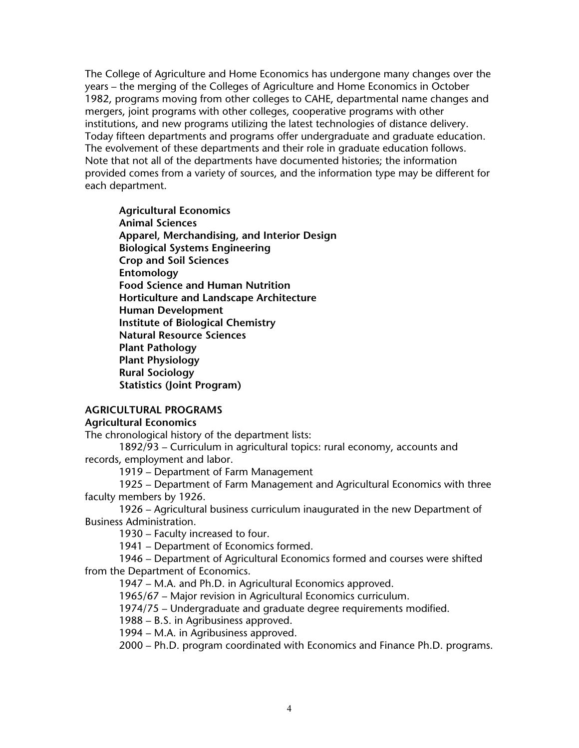The College of Agriculture and Home Economics has undergone many changes over the years – the merging of the Colleges of Agriculture and Home Economics in October 1982, programs moving from other colleges to CAHE, departmental name changes and mergers, joint programs with other colleges, cooperative programs with other institutions, and new programs utilizing the latest technologies of distance delivery. Today fifteen departments and programs offer undergraduate and graduate education. The evolvement of these departments and their role in graduate education follows. Note that not all of the departments have documented histories; the information provided comes from a variety of sources, and the information type may be different for each department.

**Agricultural Economics Animal Sciences Apparel, Merchandising, and Interior Design Biological Systems Engineering Crop and Soil Sciences Entomology Food Science and Human Nutrition Horticulture and Landscape Architecture Human Development Institute of Biological Chemistry Natural Resource Sciences Plant Pathology Plant Physiology Rural Sociology Statistics (Joint Program)** 

#### **AGRICULTURAL PROGRAMS**

#### **Agricultural Economics**

The chronological history of the department lists:

1892/93 – Curriculum in agricultural topics: rural economy, accounts and records, employment and labor.

1919 – Department of Farm Management

1925 – Department of Farm Management and Agricultural Economics with three faculty members by 1926.

1926 – Agricultural business curriculum inaugurated in the new Department of Business Administration.

1930 – Faculty increased to four.

1941 – Department of Economics formed.

1946 – Department of Agricultural Economics formed and courses were shifted from the Department of Economics.

1947 – M.A. and Ph.D. in Agricultural Economics approved.

1965/67 – Major revision in Agricultural Economics curriculum.

1974/75 – Undergraduate and graduate degree requirements modified.

1988 – B.S. in Agribusiness approved.

1994 – M.A. in Agribusiness approved.

2000 – Ph.D. program coordinated with Economics and Finance Ph.D. programs.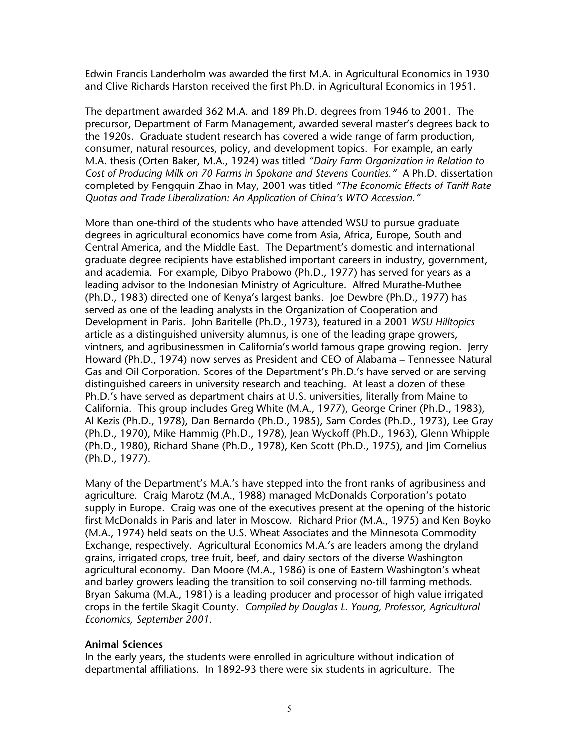Edwin Francis Landerholm was awarded the first M.A. in Agricultural Economics in 1930 and Clive Richards Harston received the first Ph.D. in Agricultural Economics in 1951.

The department awarded 362 M.A. and 189 Ph.D. degrees from 1946 to 2001. The precursor, Department of Farm Management, awarded several master's degrees back to the 1920s. Graduate student research has covered a wide range of farm production, consumer, natural resources, policy, and development topics. For example, an early M.A. thesis (Orten Baker, M.A., 1924) was titled *"Dairy Farm Organization in Relation to Cost of Producing Milk on 70 Farms in Spokane and Stevens Counties."* A Ph.D. dissertation completed by Fengquin Zhao in May, 2001 was titled *"The Economic Effects of Tariff Rate Quotas and Trade Liberalization: An Application of China's WTO Accession."* 

More than one-third of the students who have attended WSU to pursue graduate degrees in agricultural economics have come from Asia, Africa, Europe, South and Central America, and the Middle East. The Department's domestic and international graduate degree recipients have established important careers in industry, government, and academia. For example, Dibyo Prabowo (Ph.D., 1977) has served for years as a leading advisor to the Indonesian Ministry of Agriculture. Alfred Murathe-Muthee (Ph.D., 1983) directed one of Kenya's largest banks. Joe Dewbre (Ph.D., 1977) has served as one of the leading analysts in the Organization of Cooperation and Development in Paris. John Baritelle (Ph.D., 1973), featured in a 2001 *WSU Hilltopics* article as a distinguished university alumnus, is one of the leading grape growers, vintners, and agribusinessmen in California's world famous grape growing region. Jerry Howard (Ph.D., 1974) now serves as President and CEO of Alabama – Tennessee Natural Gas and Oil Corporation. Scores of the Department's Ph.D.'s have served or are serving distinguished careers in university research and teaching. At least a dozen of these Ph.D.'s have served as department chairs at U.S. universities, literally from Maine to California. This group includes Greg White (M.A., 1977), George Criner (Ph.D., 1983), Al Kezis (Ph.D., 1978), Dan Bernardo (Ph.D., 1985), Sam Cordes (Ph.D., 1973), Lee Gray (Ph.D., 1970), Mike Hammig (Ph.D., 1978), Jean Wyckoff (Ph.D., 1963), Glenn Whipple (Ph.D., 1980), Richard Shane (Ph.D., 1978), Ken Scott (Ph.D., 1975), and Jim Cornelius (Ph.D., 1977).

Many of the Department's M.A.'s have stepped into the front ranks of agribusiness and agriculture. Craig Marotz (M.A., 1988) managed McDonalds Corporation's potato supply in Europe. Craig was one of the executives present at the opening of the historic first McDonalds in Paris and later in Moscow. Richard Prior (M.A., 1975) and Ken Boyko (M.A., 1974) held seats on the U.S. Wheat Associates and the Minnesota Commodity Exchange, respectively. Agricultural Economics M.A.'s are leaders among the dryland grains, irrigated crops, tree fruit, beef, and dairy sectors of the diverse Washington agricultural economy. Dan Moore (M.A., 1986) is one of Eastern Washington's wheat and barley growers leading the transition to soil conserving no-till farming methods. Bryan Sakuma (M.A., 1981) is a leading producer and processor of high value irrigated crops in the fertile Skagit County. *Compiled by Douglas L. Young, Professor, Agricultural Economics, September 2001.*

#### **Animal Sciences**

In the early years, the students were enrolled in agriculture without indication of departmental affiliations. In 1892-93 there were six students in agriculture. The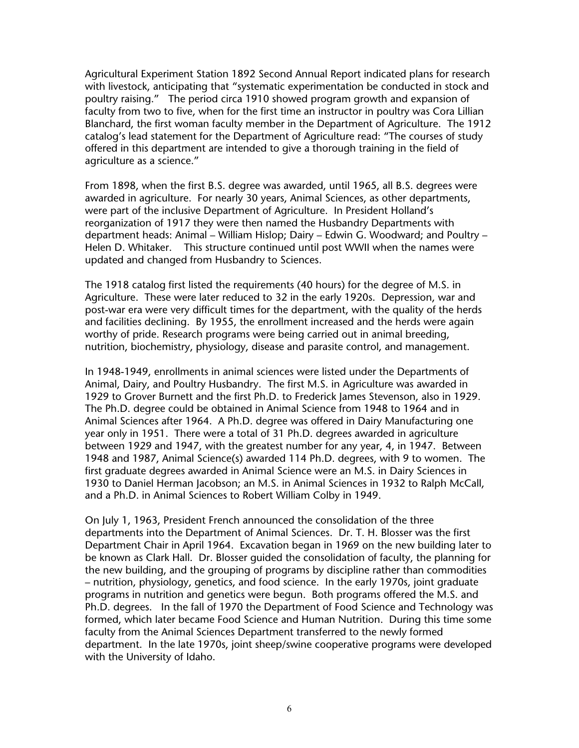Agricultural Experiment Station 1892 Second Annual Report indicated plans for research with livestock, anticipating that "systematic experimentation be conducted in stock and poultry raising." The period circa 1910 showed program growth and expansion of faculty from two to five, when for the first time an instructor in poultry was Cora Lillian Blanchard, the first woman faculty member in the Department of Agriculture. The 1912 catalog's lead statement for the Department of Agriculture read: "The courses of study offered in this department are intended to give a thorough training in the field of agriculture as a science."

From 1898, when the first B.S. degree was awarded, until 1965, all B.S. degrees were awarded in agriculture. For nearly 30 years, Animal Sciences, as other departments, were part of the inclusive Department of Agriculture. In President Holland's reorganization of 1917 they were then named the Husbandry Departments with department heads: Animal – William Hislop; Dairy – Edwin G. Woodward; and Poultry – Helen D. Whitaker. This structure continued until post WWII when the names were updated and changed from Husbandry to Sciences.

The 1918 catalog first listed the requirements (40 hours) for the degree of M.S. in Agriculture. These were later reduced to 32 in the early 1920s. Depression, war and post-war era were very difficult times for the department, with the quality of the herds and facilities declining. By 1955, the enrollment increased and the herds were again worthy of pride. Research programs were being carried out in animal breeding, nutrition, biochemistry, physiology, disease and parasite control, and management.

In 1948-1949, enrollments in animal sciences were listed under the Departments of Animal, Dairy, and Poultry Husbandry. The first M.S. in Agriculture was awarded in 1929 to Grover Burnett and the first Ph.D. to Frederick James Stevenson, also in 1929. The Ph.D. degree could be obtained in Animal Science from 1948 to 1964 and in Animal Sciences after 1964. A Ph.D. degree was offered in Dairy Manufacturing one year only in 1951. There were a total of 31 Ph.D. degrees awarded in agriculture between 1929 and 1947, with the greatest number for any year, 4, in 1947. Between 1948 and 1987, Animal Science(s) awarded 114 Ph.D. degrees, with 9 to women. The first graduate degrees awarded in Animal Science were an M.S. in Dairy Sciences in 1930 to Daniel Herman Jacobson; an M.S. in Animal Sciences in 1932 to Ralph McCall, and a Ph.D. in Animal Sciences to Robert William Colby in 1949.

On July 1, 1963, President French announced the consolidation of the three departments into the Department of Animal Sciences. Dr. T. H. Blosser was the first Department Chair in April 1964. Excavation began in 1969 on the new building later to be known as Clark Hall. Dr. Blosser guided the consolidation of faculty, the planning for the new building, and the grouping of programs by discipline rather than commodities – nutrition, physiology, genetics, and food science. In the early 1970s, joint graduate programs in nutrition and genetics were begun. Both programs offered the M.S. and Ph.D. degrees. In the fall of 1970 the Department of Food Science and Technology was formed, which later became Food Science and Human Nutrition. During this time some faculty from the Animal Sciences Department transferred to the newly formed department. In the late 1970s, joint sheep/swine cooperative programs were developed with the University of Idaho.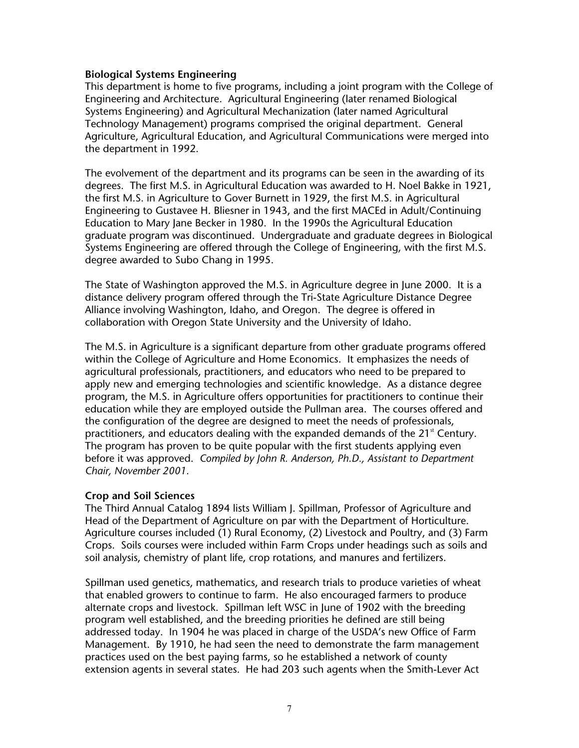#### **Biological Systems Engineering**

This department is home to five programs, including a joint program with the College of Engineering and Architecture. Agricultural Engineering (later renamed Biological Systems Engineering) and Agricultural Mechanization (later named Agricultural Technology Management) programs comprised the original department. General Agriculture, Agricultural Education, and Agricultural Communications were merged into the department in 1992.

The evolvement of the department and its programs can be seen in the awarding of its degrees. The first M.S. in Agricultural Education was awarded to H. Noel Bakke in 1921, the first M.S. in Agriculture to Gover Burnett in 1929, the first M.S. in Agricultural Engineering to Gustavee H. Bliesner in 1943, and the first MACEd in Adult/Continuing Education to Mary Jane Becker in 1980. In the 1990s the Agricultural Education graduate program was discontinued. Undergraduate and graduate degrees in Biological Systems Engineering are offered through the College of Engineering, with the first M.S. degree awarded to Subo Chang in 1995.

The State of Washington approved the M.S. in Agriculture degree in June 2000. It is a distance delivery program offered through the Tri-State Agriculture Distance Degree Alliance involving Washington, Idaho, and Oregon. The degree is offered in collaboration with Oregon State University and the University of Idaho.

The M.S. in Agriculture is a significant departure from other graduate programs offered within the College of Agriculture and Home Economics. It emphasizes the needs of agricultural professionals, practitioners, and educators who need to be prepared to apply new and emerging technologies and scientific knowledge. As a distance degree program, the M.S. in Agriculture offers opportunities for practitioners to continue their education while they are employed outside the Pullman area. The courses offered and the configuration of the degree are designed to meet the needs of professionals, practitioners, and educators dealing with the expanded demands of the  $21<sup>st</sup>$  Century. The program has proven to be quite popular with the first students applying even before it was approved. *Compiled by John R. Anderson, Ph.D., Assistant to Department Chair, November 2001.*

## **Crop and Soil Sciences**

The Third Annual Catalog 1894 lists William J. Spillman, Professor of Agriculture and Head of the Department of Agriculture on par with the Department of Horticulture. Agriculture courses included (1) Rural Economy, (2) Livestock and Poultry, and (3) Farm Crops. Soils courses were included within Farm Crops under headings such as soils and soil analysis, chemistry of plant life, crop rotations, and manures and fertilizers.

Spillman used genetics, mathematics, and research trials to produce varieties of wheat that enabled growers to continue to farm. He also encouraged farmers to produce alternate crops and livestock. Spillman left WSC in June of 1902 with the breeding program well established, and the breeding priorities he defined are still being addressed today. In 1904 he was placed in charge of the USDA's new Office of Farm Management. By 1910, he had seen the need to demonstrate the farm management practices used on the best paying farms, so he established a network of county extension agents in several states. He had 203 such agents when the Smith-Lever Act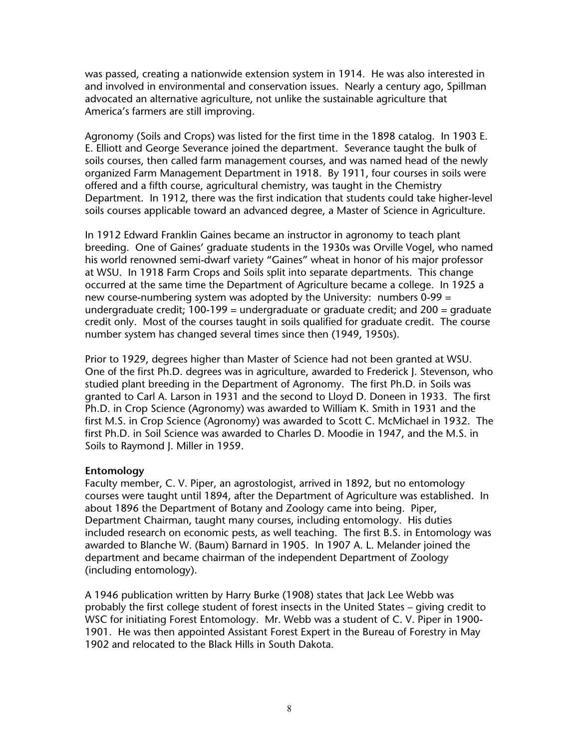was passed, creating a nationwide extension system in 1914. He was also interested in and involved in environmental and conservation issues. Nearly a century ago, Spillman advocated an alternative agriculture, not unlike the sustainable agriculture that America's farmers are still improving.

Agronomy (Soils and Crops) was listed for the first time in the 1898 catalog. In 1903 E. E. Elliott and George Severance joined the department. Severance taught the bulk of soils courses, then called farm management courses, and was named head of the newly organized Farm Management Department in 1918. By 1911, four courses in soils were offered and a fifth course, agricultural chemistry, was taught in the Chemistry Department. In 1912, there was the first indication that students could take higher-level soils courses applicable toward an advanced degree, a Master of Science in Agriculture.

In 1912 Edward Franklin Gaines became an instructor in agronomy to teach plant breeding. One of Gaines' graduate students in the 1930s was Orville Vogel, who named his world renowned semi-dwarf variety "Gaines" wheat in honor of his major professor at WSU. In 1918 Farm Crops and Soils split into separate departments. This change occurred at the same time the Department of Agriculture became a college. In 1925 a new course-numbering system was adopted by the University: numbers 0-99 = undergraduate credit; 100-199 = undergraduate or graduate credit; and 200 = graduate credit only. Most of the courses taught in soils qualified for graduate credit. The course number system has changed several times since then (1949, 1950s).

Prior to 1929, degrees higher than Master of Science had not been granted at WSU. One of the first Ph.D. degrees was in agriculture, awarded to Frederick J. Stevenson, who studied plant breeding in the Department of Agronomy. The first Ph.D. in Soils was granted to Carl A. Larson in 1931 and the second to Lloyd D. Doneen in 1933. The first Ph.D. in Crop Science (Agronomy) was awarded to William K. Smith in 1931 and the first M.S. in Crop Science (Agronomy) was awarded to Scott C. McMichael in 1932. The first Ph.D. in Soil Science was awarded to Charles D. Moodie in 1947, and the M.S. in Soils to Raymond J. Miller in 1959.

## **Entomology**

Faculty member, C. V. Piper, an agrostologist, arrived in 1892, but no entomology courses were taught until 1894, after the Department of Agriculture was established. In about 1896 the Department of Botany and Zoology came into being. Piper, Department Chairman, taught many courses, including entomology. His duties included research on economic pests, as well teaching. The first B.S. in Entomology was awarded to Blanche W. (Baum) Barnard in 1905. In 1907 A. L. Melander joined the department and became chairman of the independent Department of Zoology (including entomology).

A 1946 publication written by Harry Burke (1908) states that Jack Lee Webb was probably the first college student of forest insects in the United States – giving credit to WSC for initiating Forest Entomology. Mr. Webb was a student of C. V. Piper in 1900- 1901. He was then appointed Assistant Forest Expert in the Bureau of Forestry in May 1902 and relocated to the Black Hills in South Dakota.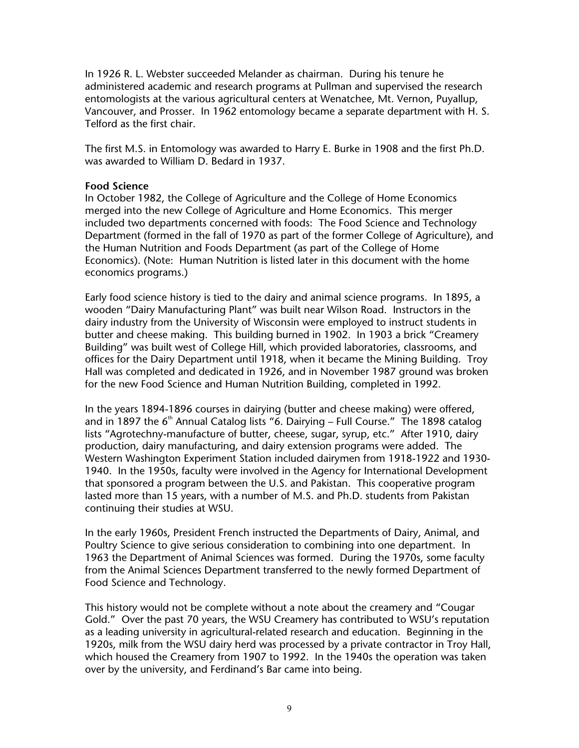In 1926 R. L. Webster succeeded Melander as chairman. During his tenure he administered academic and research programs at Pullman and supervised the research entomologists at the various agricultural centers at Wenatchee, Mt. Vernon, Puyallup, Vancouver, and Prosser. In 1962 entomology became a separate department with H. S. Telford as the first chair.

The first M.S. in Entomology was awarded to Harry E. Burke in 1908 and the first Ph.D. was awarded to William D. Bedard in 1937.

#### **Food Science**

In October 1982, the College of Agriculture and the College of Home Economics merged into the new College of Agriculture and Home Economics. This merger included two departments concerned with foods: The Food Science and Technology Department (formed in the fall of 1970 as part of the former College of Agriculture), and the Human Nutrition and Foods Department (as part of the College of Home Economics). (Note: Human Nutrition is listed later in this document with the home economics programs.)

Early food science history is tied to the dairy and animal science programs. In 1895, a wooden "Dairy Manufacturing Plant" was built near Wilson Road. Instructors in the dairy industry from the University of Wisconsin were employed to instruct students in butter and cheese making. This building burned in 1902. In 1903 a brick "Creamery Building" was built west of College Hill, which provided laboratories, classrooms, and offices for the Dairy Department until 1918, when it became the Mining Building. Troy Hall was completed and dedicated in 1926, and in November 1987 ground was broken for the new Food Science and Human Nutrition Building, completed in 1992.

In the years 1894-1896 courses in dairying (butter and cheese making) were offered, and in 1897 the  $6<sup>th</sup>$  Annual Catalog lists "6. Dairying – Full Course." The 1898 catalog lists "Agrotechny-manufacture of butter, cheese, sugar, syrup, etc." After 1910, dairy production, dairy manufacturing, and dairy extension programs were added. The Western Washington Experiment Station included dairymen from 1918-1922 and 1930- 1940. In the 1950s, faculty were involved in the Agency for International Development that sponsored a program between the U.S. and Pakistan. This cooperative program lasted more than 15 years, with a number of M.S. and Ph.D. students from Pakistan continuing their studies at WSU.

In the early 1960s, President French instructed the Departments of Dairy, Animal, and Poultry Science to give serious consideration to combining into one department. In 1963 the Department of Animal Sciences was formed. During the 1970s, some faculty from the Animal Sciences Department transferred to the newly formed Department of Food Science and Technology.

This history would not be complete without a note about the creamery and "Cougar Gold." Over the past 70 years, the WSU Creamery has contributed to WSU's reputation as a leading university in agricultural-related research and education. Beginning in the 1920s, milk from the WSU dairy herd was processed by a private contractor in Troy Hall, which housed the Creamery from 1907 to 1992. In the 1940s the operation was taken over by the university, and Ferdinand's Bar came into being.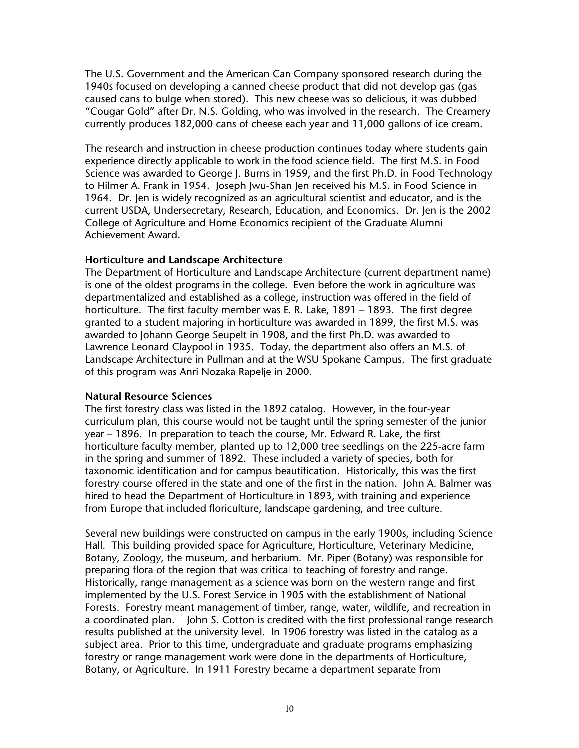The U.S. Government and the American Can Company sponsored research during the 1940s focused on developing a canned cheese product that did not develop gas (gas caused cans to bulge when stored). This new cheese was so delicious, it was dubbed "Cougar Gold" after Dr. N.S. Golding, who was involved in the research. The Creamery currently produces 182,000 cans of cheese each year and 11,000 gallons of ice cream.

The research and instruction in cheese production continues today where students gain experience directly applicable to work in the food science field. The first M.S. in Food Science was awarded to George J. Burns in 1959, and the first Ph.D. in Food Technology to Hilmer A. Frank in 1954. Joseph Jwu-Shan Jen received his M.S. in Food Science in 1964. Dr. Jen is widely recognized as an agricultural scientist and educator, and is the current USDA, Undersecretary, Research, Education, and Economics. Dr. Jen is the 2002 College of Agriculture and Home Economics recipient of the Graduate Alumni Achievement Award.

## **Horticulture and Landscape Architecture**

The Department of Horticulture and Landscape Architecture (current department name) is one of the oldest programs in the college. Even before the work in agriculture was departmentalized and established as a college, instruction was offered in the field of horticulture. The first faculty member was E. R. Lake, 1891 – 1893. The first degree granted to a student majoring in horticulture was awarded in 1899, the first M.S. was awarded to Johann George Seupelt in 1908, and the first Ph.D. was awarded to Lawrence Leonard Claypool in 1935. Today, the department also offers an M.S. of Landscape Architecture in Pullman and at the WSU Spokane Campus. The first graduate of this program was Anri Nozaka Rapelje in 2000.

## **Natural Resource Sciences**

The first forestry class was listed in the 1892 catalog. However, in the four-year curriculum plan, this course would not be taught until the spring semester of the junior year – 1896. In preparation to teach the course, Mr. Edward R. Lake, the first horticulture faculty member, planted up to 12,000 tree seedlings on the 225-acre farm in the spring and summer of 1892. These included a variety of species, both for taxonomic identification and for campus beautification. Historically, this was the first forestry course offered in the state and one of the first in the nation. John A. Balmer was hired to head the Department of Horticulture in 1893, with training and experience from Europe that included floriculture, landscape gardening, and tree culture.

Several new buildings were constructed on campus in the early 1900s, including Science Hall. This building provided space for Agriculture, Horticulture, Veterinary Medicine, Botany, Zoology, the museum, and herbarium. Mr. Piper (Botany) was responsible for preparing flora of the region that was critical to teaching of forestry and range. Historically, range management as a science was born on the western range and first implemented by the U.S. Forest Service in 1905 with the establishment of National Forests. Forestry meant management of timber, range, water, wildlife, and recreation in a coordinated plan. John S. Cotton is credited with the first professional range research results published at the university level. In 1906 forestry was listed in the catalog as a subject area. Prior to this time, undergraduate and graduate programs emphasizing forestry or range management work were done in the departments of Horticulture, Botany, or Agriculture. In 1911 Forestry became a department separate from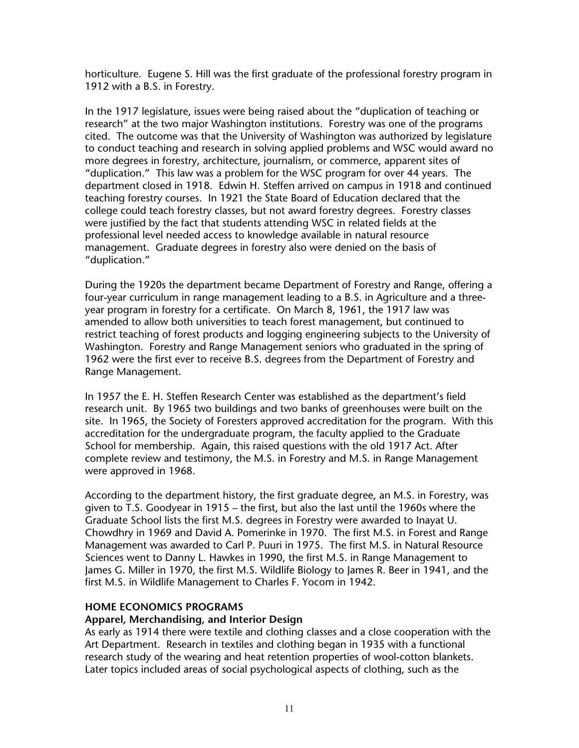horticulture. Eugene S. Hill was the first graduate of the professional forestry program in 1912 with a B.S. in Forestry.

In the 1917 legislature, issues were being raised about the "duplication of teaching or research" at the two major Washington institutions. Forestry was one of the programs cited. The outcome was that the University of Washington was authorized by legislature to conduct teaching and research in solving applied problems and WSC would award no more degrees in forestry, architecture, journalism, or commerce, apparent sites of "duplication." This law was a problem for the WSC program for over 44 years. The department closed in 1918. Edwin H. Steffen arrived on campus in 1918 and continued teaching forestry courses. In 1921 the State Board of Education declared that the college could teach forestry classes, but not award forestry degrees. Forestry classes were justified by the fact that students attending WSC in related fields at the professional level needed access to knowledge available in natural resource management. Graduate degrees in forestry also were denied on the basis of "duplication."

During the 1920s the department became Department of Forestry and Range, offering a four-year curriculum in range management leading to a B.S. in Agriculture and a threeyear program in forestry for a certificate. On March 8, 1961, the 1917 law was amended to allow both universities to teach forest management, but continued to restrict teaching of forest products and logging engineering subjects to the University of Washington. Forestry and Range Management seniors who graduated in the spring of 1962 were the first ever to receive B.S. degrees from the Department of Forestry and Range Management.

In 1957 the E. H. Steffen Research Center was established as the department's field research unit. By 1965 two buildings and two banks of greenhouses were built on the site. In 1965, the Society of Foresters approved accreditation for the program. With this accreditation for the undergraduate program, the faculty applied to the Graduate School for membership. Again, this raised questions with the old 1917 Act. After complete review and testimony, the M.S. in Forestry and M.S. in Range Management were approved in 1968.

According to the department history, the first graduate degree, an M.S. in Forestry, was given to T.S. Goodyear in 1915 – the first, but also the last until the 1960s where the Graduate School lists the first M.S. degrees in Forestry were awarded to Inayat U. Chowdhry in 1969 and David A. Pomerinke in 1970. The first M.S. in Forest and Range Management was awarded to Carl P. Puuri in 1975. The first M.S. in Natural Resource Sciences went to Danny L. Hawkes in 1990, the first M.S. in Range Management to James G. Miller in 1970, the first M.S. Wildlife Biology to James R. Beer in 1941, and the first M.S. in Wildlife Management to Charles F. Yocom in 1942.

## **HOME ECONOMICS PROGRAMS**

#### **Apparel, Merchandising, and Interior Design**

As early as 1914 there were textile and clothing classes and a close cooperation with the Art Department. Research in textiles and clothing began in 1935 with a functional research study of the wearing and heat retention properties of wool-cotton blankets. Later topics included areas of social psychological aspects of clothing, such as the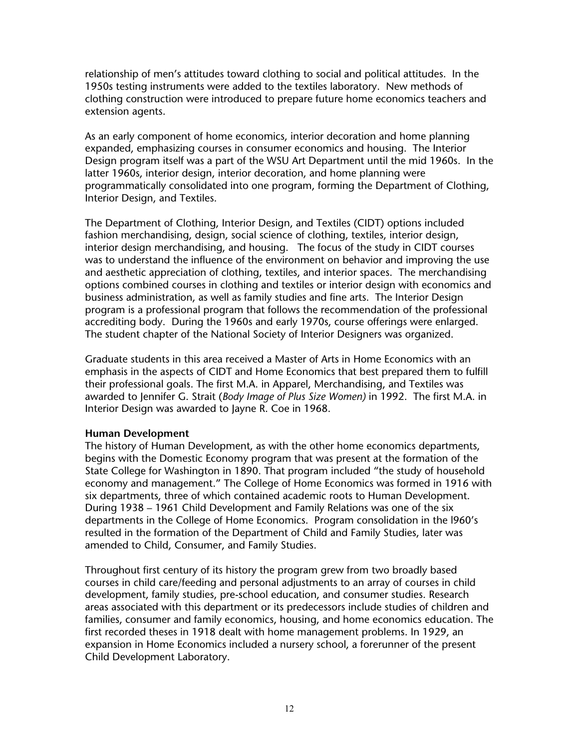relationship of men's attitudes toward clothing to social and political attitudes. In the 1950s testing instruments were added to the textiles laboratory. New methods of clothing construction were introduced to prepare future home economics teachers and extension agents.

As an early component of home economics, interior decoration and home planning expanded, emphasizing courses in consumer economics and housing. The Interior Design program itself was a part of the WSU Art Department until the mid 1960s. In the latter 1960s, interior design, interior decoration, and home planning were programmatically consolidated into one program, forming the Department of Clothing, Interior Design, and Textiles.

The Department of Clothing, Interior Design, and Textiles (CIDT) options included fashion merchandising, design, social science of clothing, textiles, interior design, interior design merchandising, and housing. The focus of the study in CIDT courses was to understand the influence of the environment on behavior and improving the use and aesthetic appreciation of clothing, textiles, and interior spaces. The merchandising options combined courses in clothing and textiles or interior design with economics and business administration, as well as family studies and fine arts. The Interior Design program is a professional program that follows the recommendation of the professional accrediting body. During the 1960s and early 1970s, course offerings were enlarged. The student chapter of the National Society of Interior Designers was organized.

Graduate students in this area received a Master of Arts in Home Economics with an emphasis in the aspects of CIDT and Home Economics that best prepared them to fulfill their professional goals. The first M.A. in Apparel, Merchandising, and Textiles was awarded to Jennifer G. Strait (*Body Image of Plus Size Women)* in 1992. The first M.A. in Interior Design was awarded to Jayne R. Coe in 1968.

## **Human Development**

The history of Human Development, as with the other home economics departments, begins with the Domestic Economy program that was present at the formation of the State College for Washington in 1890. That program included "the study of household economy and management." The College of Home Economics was formed in 1916 with six departments, three of which contained academic roots to Human Development. During 1938 – 1961 Child Development and Family Relations was one of the six departments in the College of Home Economics. Program consolidation in the l960's resulted in the formation of the Department of Child and Family Studies, later was amended to Child, Consumer, and Family Studies.

Throughout first century of its history the program grew from two broadly based courses in child care/feeding and personal adjustments to an array of courses in child development, family studies, pre-school education, and consumer studies. Research areas associated with this department or its predecessors include studies of children and families, consumer and family economics, housing, and home economics education. The first recorded theses in 1918 dealt with home management problems. In 1929, an expansion in Home Economics included a nursery school, a forerunner of the present Child Development Laboratory.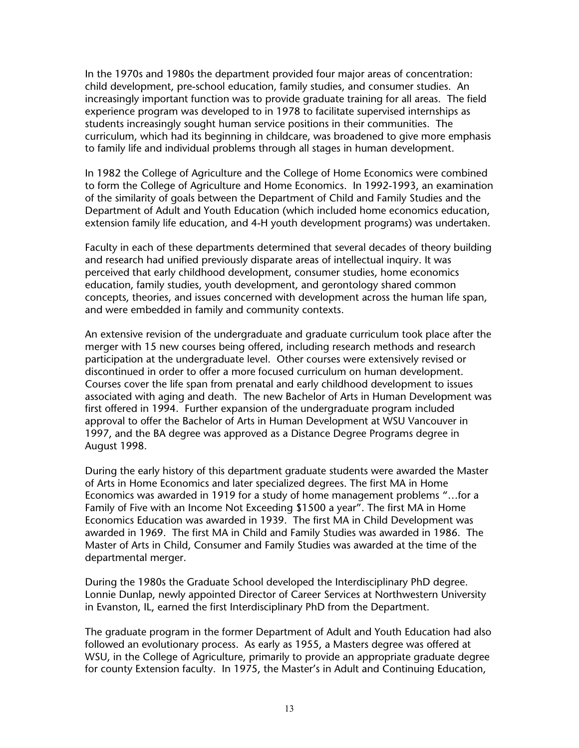In the 1970s and 1980s the department provided four major areas of concentration: child development, pre-school education, family studies, and consumer studies. An increasingly important function was to provide graduate training for all areas. The field experience program was developed to in 1978 to facilitate supervised internships as students increasingly sought human service positions in their communities. The curriculum, which had its beginning in childcare, was broadened to give more emphasis to family life and individual problems through all stages in human development.

In 1982 the College of Agriculture and the College of Home Economics were combined to form the College of Agriculture and Home Economics. In 1992-1993, an examination of the similarity of goals between the Department of Child and Family Studies and the Department of Adult and Youth Education (which included home economics education, extension family life education, and 4-H youth development programs) was undertaken.

Faculty in each of these departments determined that several decades of theory building and research had unified previously disparate areas of intellectual inquiry. It was perceived that early childhood development, consumer studies, home economics education, family studies, youth development, and gerontology shared common concepts, theories, and issues concerned with development across the human life span, and were embedded in family and community contexts.

An extensive revision of the undergraduate and graduate curriculum took place after the merger with 15 new courses being offered, including research methods and research participation at the undergraduate level. Other courses were extensively revised or discontinued in order to offer a more focused curriculum on human development. Courses cover the life span from prenatal and early childhood development to issues associated with aging and death. The new Bachelor of Arts in Human Development was first offered in 1994. Further expansion of the undergraduate program included approval to offer the Bachelor of Arts in Human Development at WSU Vancouver in 1997, and the BA degree was approved as a Distance Degree Programs degree in August 1998.

During the early history of this department graduate students were awarded the Master of Arts in Home Economics and later specialized degrees. The first MA in Home Economics was awarded in 1919 for a study of home management problems "…for a Family of Five with an Income Not Exceeding \$1500 a year". The first MA in Home Economics Education was awarded in 1939. The first MA in Child Development was awarded in 1969. The first MA in Child and Family Studies was awarded in 1986. The Master of Arts in Child, Consumer and Family Studies was awarded at the time of the departmental merger.

During the 1980s the Graduate School developed the Interdisciplinary PhD degree. Lonnie Dunlap, newly appointed Director of Career Services at Northwestern University in Evanston, IL, earned the first Interdisciplinary PhD from the Department.

The graduate program in the former Department of Adult and Youth Education had also followed an evolutionary process. As early as 1955, a Masters degree was offered at WSU, in the College of Agriculture, primarily to provide an appropriate graduate degree for county Extension faculty. In 1975, the Master's in Adult and Continuing Education,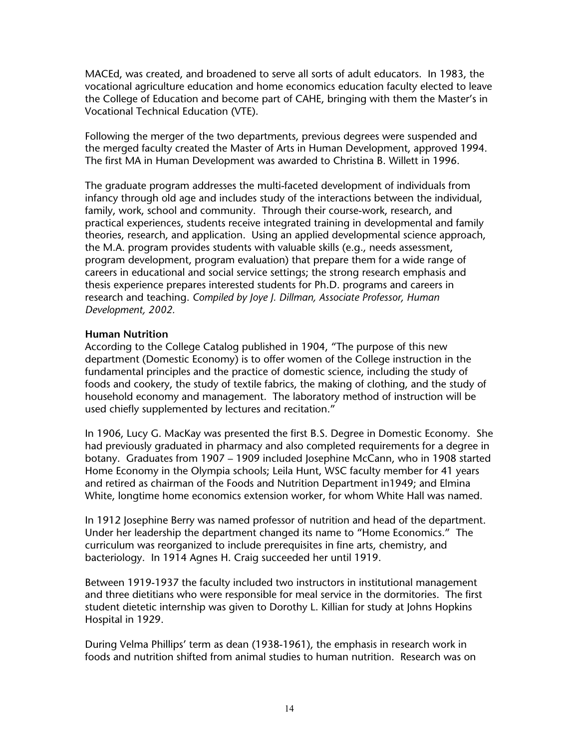MACEd, was created, and broadened to serve all sorts of adult educators. In 1983, the vocational agriculture education and home economics education faculty elected to leave the College of Education and become part of CAHE, bringing with them the Master's in Vocational Technical Education (VTE).

Following the merger of the two departments, previous degrees were suspended and the merged faculty created the Master of Arts in Human Development, approved 1994. The first MA in Human Development was awarded to Christina B. Willett in 1996.

The graduate program addresses the multi-faceted development of individuals from infancy through old age and includes study of the interactions between the individual, family, work, school and community. Through their course-work, research, and practical experiences, students receive integrated training in developmental and family theories, research, and application. Using an applied developmental science approach, the M.A. program provides students with valuable skills (e.g., needs assessment, program development, program evaluation) that prepare them for a wide range of careers in educational and social service settings; the strong research emphasis and thesis experience prepares interested students for Ph.D. programs and careers in research and teaching. *Compiled by Joye J. Dillman, Associate Professor, Human Development, 2002.*

#### **Human Nutrition**

According to the College Catalog published in 1904, "The purpose of this new department (Domestic Economy) is to offer women of the College instruction in the fundamental principles and the practice of domestic science, including the study of foods and cookery, the study of textile fabrics, the making of clothing, and the study of household economy and management. The laboratory method of instruction will be used chiefly supplemented by lectures and recitation."

In 1906, Lucy G. MacKay was presented the first B.S. Degree in Domestic Economy. She had previously graduated in pharmacy and also completed requirements for a degree in botany. Graduates from 1907 – 1909 included Josephine McCann, who in 1908 started Home Economy in the Olympia schools; Leila Hunt, WSC faculty member for 41 years and retired as chairman of the Foods and Nutrition Department in1949; and Elmina White, longtime home economics extension worker, for whom White Hall was named.

In 1912 Josephine Berry was named professor of nutrition and head of the department. Under her leadership the department changed its name to "Home Economics." The curriculum was reorganized to include prerequisites in fine arts, chemistry, and bacteriology. In 1914 Agnes H. Craig succeeded her until 1919.

Between 1919-1937 the faculty included two instructors in institutional management and three dietitians who were responsible for meal service in the dormitories. The first student dietetic internship was given to Dorothy L. Killian for study at Johns Hopkins Hospital in 1929.

During Velma Phillips' term as dean (1938-1961), the emphasis in research work in foods and nutrition shifted from animal studies to human nutrition. Research was on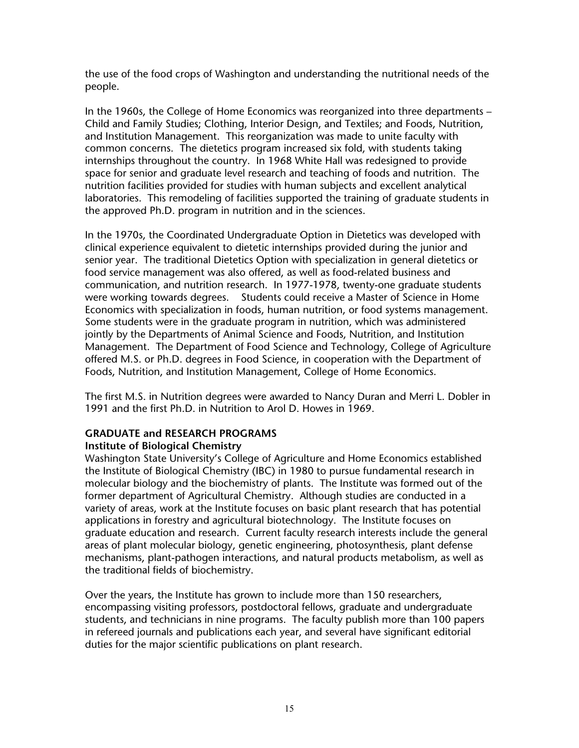the use of the food crops of Washington and understanding the nutritional needs of the people.

In the 1960s, the College of Home Economics was reorganized into three departments – Child and Family Studies; Clothing, Interior Design, and Textiles; and Foods, Nutrition, and Institution Management. This reorganization was made to unite faculty with common concerns. The dietetics program increased six fold, with students taking internships throughout the country. In 1968 White Hall was redesigned to provide space for senior and graduate level research and teaching of foods and nutrition. The nutrition facilities provided for studies with human subjects and excellent analytical laboratories. This remodeling of facilities supported the training of graduate students in the approved Ph.D. program in nutrition and in the sciences.

In the 1970s, the Coordinated Undergraduate Option in Dietetics was developed with clinical experience equivalent to dietetic internships provided during the junior and senior year. The traditional Dietetics Option with specialization in general dietetics or food service management was also offered, as well as food-related business and communication, and nutrition research. In 1977-1978, twenty-one graduate students were working towards degrees. Students could receive a Master of Science in Home Economics with specialization in foods, human nutrition, or food systems management. Some students were in the graduate program in nutrition, which was administered jointly by the Departments of Animal Science and Foods, Nutrition, and Institution Management. The Department of Food Science and Technology, College of Agriculture offered M.S. or Ph.D. degrees in Food Science, in cooperation with the Department of Foods, Nutrition, and Institution Management, College of Home Economics.

The first M.S. in Nutrition degrees were awarded to Nancy Duran and Merri L. Dobler in 1991 and the first Ph.D. in Nutrition to Arol D. Howes in 1969.

# **GRADUATE and RESEARCH PROGRAMS**

## **Institute of Biological Chemistry**

Washington State University's College of Agriculture and Home Economics established the Institute of Biological Chemistry (IBC) in 1980 to pursue fundamental research in molecular biology and the biochemistry of plants. The Institute was formed out of the former department of Agricultural Chemistry. Although studies are conducted in a variety of areas, work at the Institute focuses on basic plant research that has potential applications in forestry and agricultural biotechnology. The Institute focuses on graduate education and research. Current faculty research interests include the general areas of plant molecular biology, genetic engineering, photosynthesis, plant defense mechanisms, plant-pathogen interactions, and natural products metabolism, as well as the traditional fields of biochemistry.

Over the years, the Institute has grown to include more than 150 researchers, encompassing visiting professors, postdoctoral fellows, graduate and undergraduate students, and technicians in nine programs. The faculty publish more than 100 papers in refereed journals and publications each year, and several have significant editorial duties for the major scientific publications on plant research.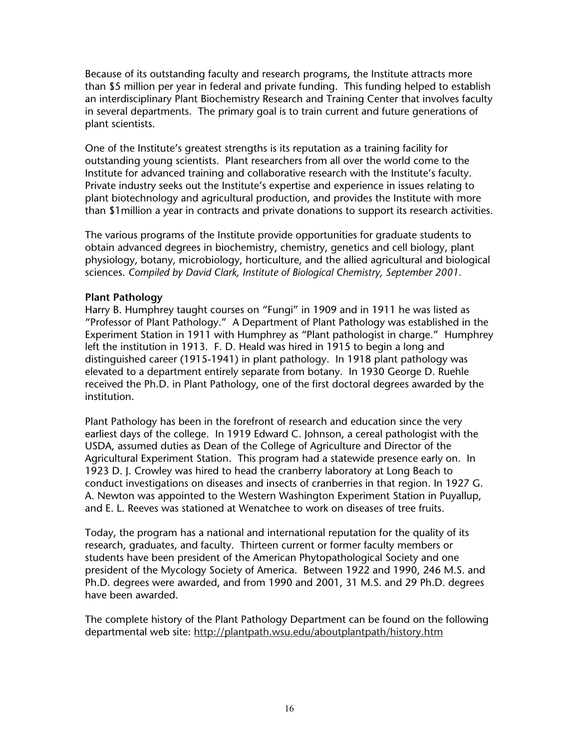Because of its outstanding faculty and research programs, the Institute attracts more than \$5 million per year in federal and private funding. This funding helped to establish an interdisciplinary Plant Biochemistry Research and Training Center that involves faculty in several departments. The primary goal is to train current and future generations of plant scientists.

One of the Institute's greatest strengths is its reputation as a training facility for outstanding young scientists. Plant researchers from all over the world come to the Institute for advanced training and collaborative research with the Institute's faculty. Private industry seeks out the Institute's expertise and experience in issues relating to plant biotechnology and agricultural production, and provides the Institute with more than \$1million a year in contracts and private donations to support its research activities.

The various programs of the Institute provide opportunities for graduate students to obtain advanced degrees in biochemistry, chemistry, genetics and cell biology, plant physiology, botany, microbiology, horticulture, and the allied agricultural and biological sciences. *Compiled by David Clark, Institute of Biological Chemistry, September 2001.* 

## **Plant Pathology**

Harry B. Humphrey taught courses on "Fungi" in 1909 and in 1911 he was listed as "Professor of Plant Pathology." A Department of Plant Pathology was established in the Experiment Station in 1911 with Humphrey as "Plant pathologist in charge." Humphrey left the institution in 1913. F. D. Heald was hired in 1915 to begin a long and distinguished career (1915-1941) in plant pathology. In 1918 plant pathology was elevated to a department entirely separate from botany. In 1930 George D. Ruehle received the Ph.D. in Plant Pathology, one of the first doctoral degrees awarded by the institution.

Plant Pathology has been in the forefront of research and education since the very earliest days of the college. In 1919 Edward C. Johnson, a cereal pathologist with the USDA, assumed duties as Dean of the College of Agriculture and Director of the Agricultural Experiment Station. This program had a statewide presence early on. In 1923 D. J. Crowley was hired to head the cranberry laboratory at Long Beach to conduct investigations on diseases and insects of cranberries in that region. In 1927 G. A. Newton was appointed to the Western Washington Experiment Station in Puyallup, and E. L. Reeves was stationed at Wenatchee to work on diseases of tree fruits.

Today, the program has a national and international reputation for the quality of its research, graduates, and faculty. Thirteen current or former faculty members or students have been president of the American Phytopathological Society and one president of the Mycology Society of America. Between 1922 and 1990, 246 M.S. and Ph.D. degrees were awarded, and from 1990 and 2001, 31 M.S. and 29 Ph.D. degrees have been awarded.

The complete history of the Plant Pathology Department can be found on the following departmental web site: http://plantpath.wsu.edu/aboutplantpath/history.htm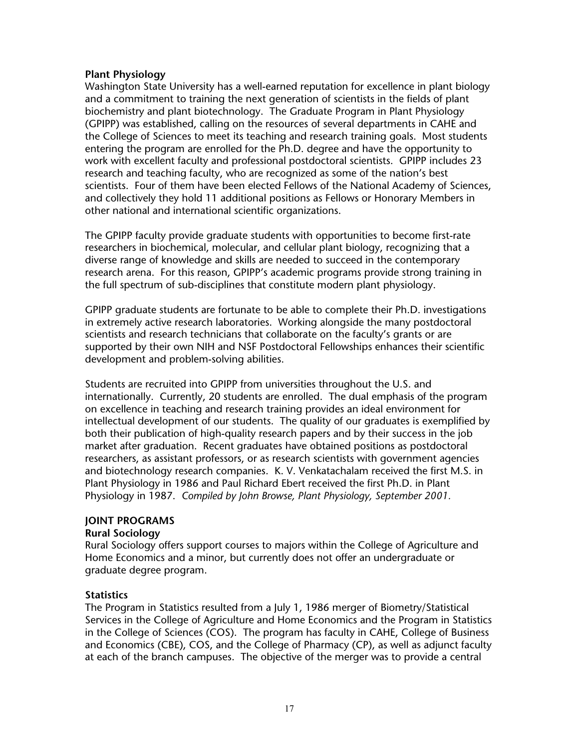## **Plant Physiology**

Washington State University has a well-earned reputation for excellence in plant biology and a commitment to training the next generation of scientists in the fields of plant biochemistry and plant biotechnology. The Graduate Program in Plant Physiology (GPIPP) was established, calling on the resources of several departments in CAHE and the College of Sciences to meet its teaching and research training goals. Most students entering the program are enrolled for the Ph.D. degree and have the opportunity to work with excellent faculty and professional postdoctoral scientists. GPIPP includes 23 research and teaching faculty, who are recognized as some of the nation's best scientists. Four of them have been elected Fellows of the National Academy of Sciences, and collectively they hold 11 additional positions as Fellows or Honorary Members in other national and international scientific organizations.

The GPIPP faculty provide graduate students with opportunities to become first-rate researchers in biochemical, molecular, and cellular plant biology, recognizing that a diverse range of knowledge and skills are needed to succeed in the contemporary research arena. For this reason, GPIPP's academic programs provide strong training in the full spectrum of sub-disciplines that constitute modern plant physiology.

GPIPP graduate students are fortunate to be able to complete their Ph.D. investigations in extremely active research laboratories. Working alongside the many postdoctoral scientists and research technicians that collaborate on the faculty's grants or are supported by their own NIH and NSF Postdoctoral Fellowships enhances their scientific development and problem-solving abilities.

Students are recruited into GPIPP from universities throughout the U.S. and internationally. Currently, 20 students are enrolled. The dual emphasis of the program on excellence in teaching and research training provides an ideal environment for intellectual development of our students. The quality of our graduates is exemplified by both their publication of high-quality research papers and by their success in the job market after graduation. Recent graduates have obtained positions as postdoctoral researchers, as assistant professors, or as research scientists with government agencies and biotechnology research companies. K. V. Venkatachalam received the first M.S. in Plant Physiology in 1986 and Paul Richard Ebert received the first Ph.D. in Plant Physiology in 1987. *Compiled by John Browse, Plant Physiology, September 2001.*

## **JOINT PROGRAMS**

## **Rural Sociology**

Rural Sociology offers support courses to majors within the College of Agriculture and Home Economics and a minor, but currently does not offer an undergraduate or graduate degree program.

## **Statistics**

The Program in Statistics resulted from a July 1, 1986 merger of Biometry/Statistical Services in the College of Agriculture and Home Economics and the Program in Statistics in the College of Sciences (COS). The program has faculty in CAHE, College of Business and Economics (CBE), COS, and the College of Pharmacy (CP), as well as adjunct faculty at each of the branch campuses. The objective of the merger was to provide a central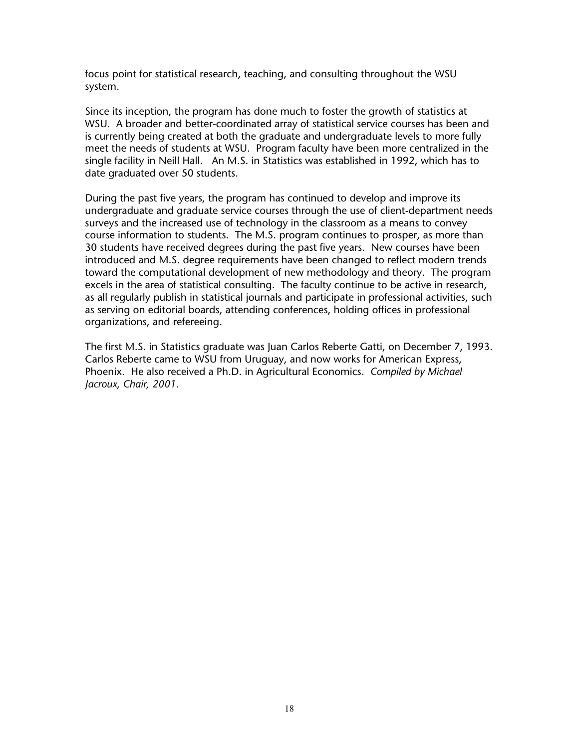focus point for statistical research, teaching, and consulting throughout the WSU system.

Since its inception, the program has done much to foster the growth of statistics at WSU. A broader and better-coordinated array of statistical service courses has been and is currently being created at both the graduate and undergraduate levels to more fully meet the needs of students at WSU. Program faculty have been more centralized in the single facility in Neill Hall. An M.S. in Statistics was established in 1992, which has to date graduated over 50 students.

During the past five years, the program has continued to develop and improve its undergraduate and graduate service courses through the use of client-department needs surveys and the increased use of technology in the classroom as a means to convey course information to students. The M.S. program continues to prosper, as more than 30 students have received degrees during the past five years. New courses have been introduced and M.S. degree requirements have been changed to reflect modern trends toward the computational development of new methodology and theory. The program excels in the area of statistical consulting. The faculty continue to be active in research, as all regularly publish in statistical journals and participate in professional activities, such as serving on editorial boards, attending conferences, holding offices in professional organizations, and refereeing.

The first M.S. in Statistics graduate was Juan Carlos Reberte Gatti, on December 7, 1993. Carlos Reberte came to WSU from Uruguay, and now works for American Express, Phoenix. He also received a Ph.D. in Agricultural Economics. *Compiled by Michael Jacroux, Chair, 2001.*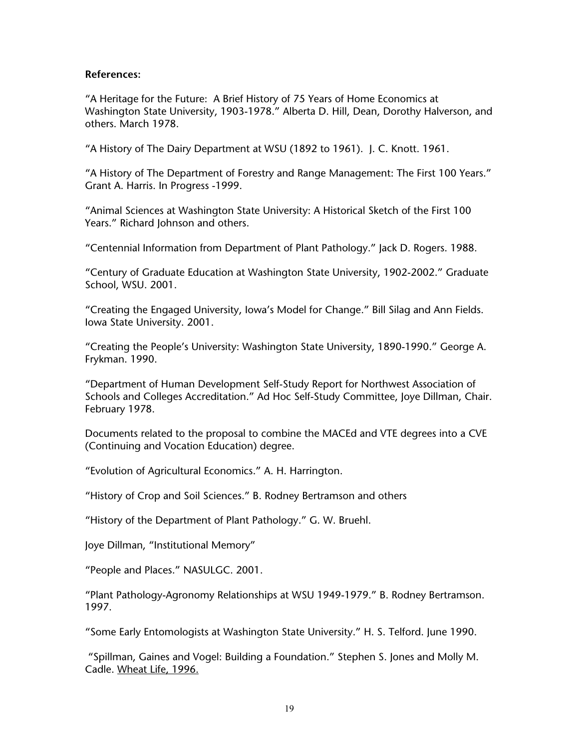#### **References:**

"A Heritage for the Future: A Brief History of 75 Years of Home Economics at Washington State University, 1903-1978." Alberta D. Hill, Dean, Dorothy Halverson, and others. March 1978.

"A History of The Dairy Department at WSU (1892 to 1961). J. C. Knott. 1961.

"A History of The Department of Forestry and Range Management: The First 100 Years." Grant A. Harris. In Progress -1999.

"Animal Sciences at Washington State University: A Historical Sketch of the First 100 Years." Richard Johnson and others.

"Centennial Information from Department of Plant Pathology." Jack D. Rogers. 1988.

"Century of Graduate Education at Washington State University, 1902-2002." Graduate School, WSU. 2001.

"Creating the Engaged University, Iowa's Model for Change." Bill Silag and Ann Fields. Iowa State University. 2001.

"Creating the People's University: Washington State University, 1890-1990." George A. Frykman. 1990.

"Department of Human Development Self-Study Report for Northwest Association of Schools and Colleges Accreditation." Ad Hoc Self-Study Committee, Joye Dillman, Chair. February 1978.

Documents related to the proposal to combine the MACEd and VTE degrees into a CVE (Continuing and Vocation Education) degree.

"Evolution of Agricultural Economics." A. H. Harrington.

"History of Crop and Soil Sciences." B. Rodney Bertramson and others

"History of the Department of Plant Pathology." G. W. Bruehl.

Joye Dillman, "Institutional Memory"

"People and Places." NASULGC. 2001.

"Plant Pathology-Agronomy Relationships at WSU 1949-1979." B. Rodney Bertramson. 1997.

"Some Early Entomologists at Washington State University." H. S. Telford. June 1990.

 "Spillman, Gaines and Vogel: Building a Foundation." Stephen S. Jones and Molly M. Cadle. Wheat Life, 1996.